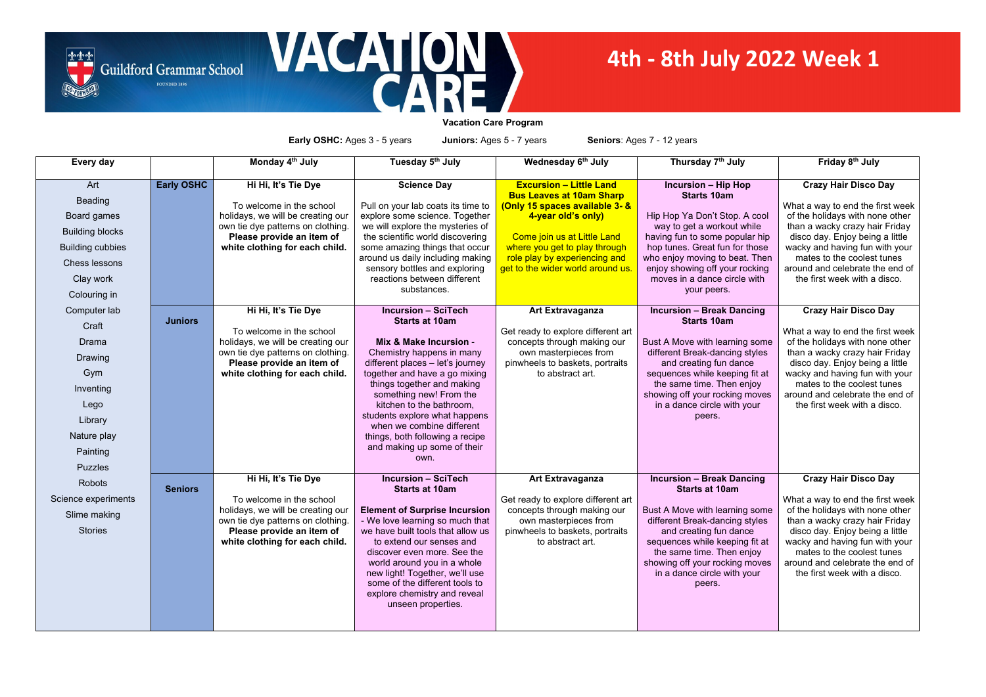**Vacation Care Program**

**Early OSHC:** Ages 3 - 5 years **Juniors:** Ages 5 - 7 years **Seniors**: Ages 7 - 12 years

| Every day               |                   | Monday 4 <sup>th</sup> July                                   | Tuesday 5th July                                                   | Wednesday 6 <sup>th</sup> July                                               | Thursday 7 <sup>th</sup> July                                    | Friday 8 <sup>th</sup> July                                         |
|-------------------------|-------------------|---------------------------------------------------------------|--------------------------------------------------------------------|------------------------------------------------------------------------------|------------------------------------------------------------------|---------------------------------------------------------------------|
|                         |                   |                                                               |                                                                    |                                                                              |                                                                  |                                                                     |
| Art                     | <b>Early OSHC</b> | Hi Hi, It's Tie Dye                                           | <b>Science Day</b>                                                 | <b>Excursion - Little Land</b>                                               | <b>Incursion - Hip Hop</b>                                       | <b>Crazy Hair Disco Day</b>                                         |
| <b>Beading</b>          |                   | To welcome in the school                                      | Pull on your lab coats its time to                                 | <b>Bus Leaves at 10am Sharp</b><br><u>(Only 15 spaces available 3- &amp;</u> | <b>Starts 10am</b>                                               | What a way to end the first week                                    |
| Board games             |                   | holidays, we will be creating our                             | explore some science. Together                                     | 4-year old's only)                                                           | Hip Hop Ya Don't Stop. A cool                                    | of the holidays with none other                                     |
| <b>Building blocks</b>  |                   | own tie dye patterns on clothing.                             | we will explore the mysteries of                                   |                                                                              | way to get a workout while                                       | than a wacky crazy hair Friday                                      |
| <b>Building cubbies</b> |                   | Please provide an item of<br>white clothing for each child.   | the scientific world discovering<br>some amazing things that occur | Come join us at Little Land<br>where you get to play through                 | having fun to some popular hip<br>hop tunes. Great fun for those | disco day. Enjoy being a little<br>wacky and having fun with your   |
|                         |                   |                                                               | around us daily including making                                   | role play by experiencing and                                                | who enjoy moving to beat. Then                                   | mates to the coolest tunes                                          |
| <b>Chess lessons</b>    |                   |                                                               | sensory bottles and exploring                                      | get to the wider world around us.                                            | enjoy showing off your rocking                                   | around and celebrate the end of                                     |
| Clay work               |                   |                                                               | reactions between different<br>substances.                         |                                                                              | moves in a dance circle with                                     | the first week with a disco.                                        |
| Colouring in            |                   |                                                               |                                                                    |                                                                              | your peers.                                                      |                                                                     |
| Computer lab            |                   | Hi Hi, It's Tie Dye                                           | <b>Incursion - SciTech</b>                                         | <b>Art Extravaganza</b>                                                      | <b>Incursion - Break Dancing</b>                                 | <b>Crazy Hair Disco Day</b>                                         |
| Craft                   | <b>Juniors</b>    |                                                               | <b>Starts at 10am</b>                                              |                                                                              | <b>Starts 10am</b>                                               |                                                                     |
| <b>Drama</b>            |                   | To welcome in the school<br>holidays, we will be creating our | Mix & Make Incursion -                                             | Get ready to explore different art<br>concepts through making our            | Bust A Move with learning some                                   | What a way to end the first week<br>of the holidays with none other |
| Drawing                 |                   | own tie dye patterns on clothing.                             | Chemistry happens in many                                          | own masterpieces from                                                        | different Break-dancing styles                                   | than a wacky crazy hair Friday                                      |
|                         |                   | Please provide an item of                                     | different places - let's journey                                   | pinwheels to baskets, portraits                                              | and creating fun dance                                           | disco day. Enjoy being a little                                     |
| Gym                     |                   | white clothing for each child.                                | together and have a go mixing<br>things together and making        | to abstract art.                                                             | sequences while keeping fit at<br>the same time. Then enjoy      | wacky and having fun with your<br>mates to the coolest tunes        |
| Inventing               |                   |                                                               | something new! From the                                            |                                                                              | showing off your rocking moves                                   | around and celebrate the end of                                     |
| Lego                    |                   |                                                               | kitchen to the bathroom,                                           |                                                                              | in a dance circle with your                                      | the first week with a disco.                                        |
| Library                 |                   |                                                               | students explore what happens<br>when we combine different         |                                                                              | peers.                                                           |                                                                     |
| Nature play             |                   |                                                               | things, both following a recipe                                    |                                                                              |                                                                  |                                                                     |
| Painting                |                   |                                                               | and making up some of their<br>own.                                |                                                                              |                                                                  |                                                                     |
| <b>Puzzles</b>          |                   |                                                               |                                                                    |                                                                              |                                                                  |                                                                     |
| Robots                  |                   | Hi Hi, It's Tie Dye                                           | <b>Incursion - SciTech</b>                                         | <b>Art Extravaganza</b>                                                      | <b>Incursion - Break Dancing</b>                                 | <b>Crazy Hair Disco Day</b>                                         |
|                         | <b>Seniors</b>    | To welcome in the school                                      | <b>Starts at 10am</b>                                              |                                                                              | <b>Starts at 10am</b>                                            |                                                                     |
| Science experiments     |                   | holidays, we will be creating our                             | <b>Element of Surprise Incursion</b>                               | Get ready to explore different art<br>concepts through making our            | Bust A Move with learning some                                   | What a way to end the first week<br>of the holidays with none other |
| Slime making            |                   | own tie dye patterns on clothing.                             | - We love learning so much that                                    | own masterpieces from                                                        | different Break-dancing styles                                   | than a wacky crazy hair Friday                                      |
| <b>Stories</b>          |                   | Please provide an item of                                     | we have built tools that allow us                                  | pinwheels to baskets, portraits                                              | and creating fun dance                                           | disco day. Enjoy being a little                                     |
|                         |                   | white clothing for each child.                                | to extend our senses and<br>discover even more. See the            | to abstract art.                                                             | sequences while keeping fit at<br>the same time. Then enjoy      | wacky and having fun with your<br>mates to the coolest tunes        |
|                         |                   |                                                               | world around you in a whole                                        |                                                                              | showing off your rocking moves                                   | around and celebrate the end of                                     |
|                         |                   |                                                               | new light! Together, we'll use                                     |                                                                              | in a dance circle with your                                      | the first week with a disco.                                        |
|                         |                   |                                                               | some of the different tools to<br>explore chemistry and reveal     |                                                                              | peers.                                                           |                                                                     |
|                         |                   |                                                               | unseen properties.                                                 |                                                                              |                                                                  |                                                                     |
|                         |                   |                                                               |                                                                    |                                                                              |                                                                  |                                                                     |
|                         |                   |                                                               |                                                                    |                                                                              |                                                                  |                                                                     |





## **4th - 8th July 2022 Week 1**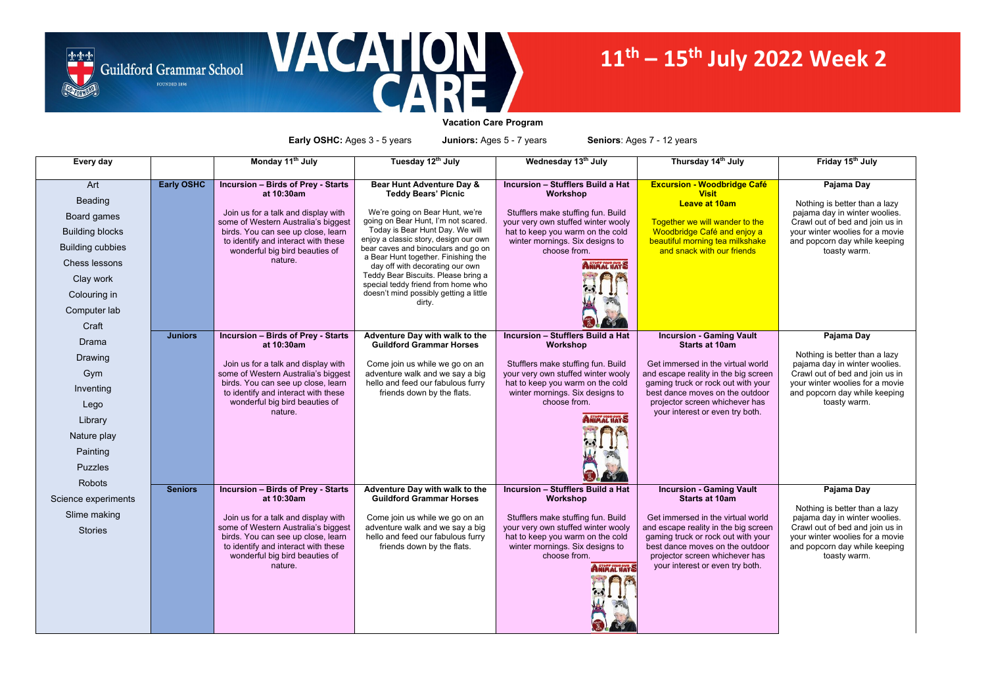



**Vacation Care Program**

**Early OSHC:** Ages 3 - 5 years **Juniors:** Ages 5 - 7 years **Seniors**: Ages 7 - 12 years

| Every day               |                   | Monday 11 <sup>th</sup> July                                               | Tuesday 12th July                                                         | Wednesday 13th July                                                      | Thursday 14th July                                                | Friday 15th July                                                 |
|-------------------------|-------------------|----------------------------------------------------------------------------|---------------------------------------------------------------------------|--------------------------------------------------------------------------|-------------------------------------------------------------------|------------------------------------------------------------------|
| Art<br><b>Beading</b>   | <b>Early OSHC</b> | <b>Incursion - Birds of Prey - Starts</b><br>at 10:30am                    | Bear Hunt Adventure Day &<br><b>Teddy Bears' Picnic</b>                   | <b>Incursion - Stufflers Build a Hat</b><br><b>Workshop</b>              | <b>Excursion - Woodbridge Café</b><br><b>Visit</b>                | Pajama Day                                                       |
|                         |                   | Join us for a talk and display with                                        | We're going on Bear Hunt, we're                                           | Stufflers make stuffing fun. Build                                       | <b>Leave at 10am</b>                                              | Nothing is better than a lazy<br>pajama day in winter woolies.   |
| Board games             |                   | some of Western Australia's biggest                                        | going on Bear Hunt, I'm not scared.                                       | your very own stuffed winter wooly                                       | Together we will wander to the                                    | Crawl out of bed and join us in                                  |
| <b>Building blocks</b>  |                   | birds. You can see up close, learn<br>to identify and interact with these  | Today is Bear Hunt Day. We will<br>enjoy a classic story, design our own  | hat to keep you warm on the cold<br>winter mornings. Six designs to      | Woodbridge Café and enjoy a<br>beautiful morning tea milkshake    | your winter woolies for a movie<br>and popcorn day while keeping |
| <b>Building cubbies</b> |                   | wonderful big bird beauties of                                             | bear caves and binoculars and go on                                       | choose from.                                                             | and snack with our friends                                        | toasty warm.                                                     |
| <b>Chess lessons</b>    |                   | nature.                                                                    | a Bear Hunt together. Finishing the<br>day off with decorating our own    | <b>ANIMAL HATS</b>                                                       |                                                                   |                                                                  |
| Clay work               |                   |                                                                            | Teddy Bear Biscuits. Please bring a<br>special teddy friend from home who |                                                                          |                                                                   |                                                                  |
| Colouring in            |                   |                                                                            | doesn't mind possibly getting a little                                    |                                                                          |                                                                   |                                                                  |
| Computer lab            |                   |                                                                            | dirty.                                                                    |                                                                          |                                                                   |                                                                  |
| Craft                   |                   |                                                                            |                                                                           |                                                                          |                                                                   |                                                                  |
| <b>Drama</b>            | <b>Juniors</b>    | <b>Incursion - Birds of Prey - Starts</b><br>at 10:30am                    | Adventure Day with walk to the<br><b>Guildford Grammar Horses</b>         | <b>Incursion - Stufflers Build a Hat</b><br>Workshop                     | <b>Incursion - Gaming Vault</b><br><b>Starts at 10am</b>          | Pajama Day                                                       |
| Drawing                 |                   |                                                                            |                                                                           |                                                                          | Get immersed in the virtual world                                 | Nothing is better than a lazy                                    |
| Gym                     |                   | Join us for a talk and display with<br>some of Western Australia's biggest | Come join us while we go on an<br>adventure walk and we say a big         | Stufflers make stuffing fun. Build<br>your very own stuffed winter wooly | and escape reality in the big screen                              | pajama day in winter woolies.<br>Crawl out of bed and join us in |
| Inventing               |                   | birds. You can see up close, learn                                         | hello and feed our fabulous furry                                         | hat to keep you warm on the cold                                         | gaming truck or rock out with your                                | your winter woolies for a movie                                  |
| Lego                    |                   | to identify and interact with these<br>wonderful big bird beauties of      | friends down by the flats.                                                | winter mornings. Six designs to<br>choose from.                          | best dance moves on the outdoor<br>projector screen whichever has | and popcorn day while keeping<br>toasty warm.                    |
| Library                 |                   | nature.                                                                    |                                                                           | <b>ANIMAL HATS</b>                                                       | your interest or even try both.                                   |                                                                  |
|                         |                   |                                                                            |                                                                           |                                                                          |                                                                   |                                                                  |
| Nature play             |                   |                                                                            |                                                                           |                                                                          |                                                                   |                                                                  |
| Painting                |                   |                                                                            |                                                                           |                                                                          |                                                                   |                                                                  |
| <b>Puzzles</b>          |                   |                                                                            |                                                                           |                                                                          |                                                                   |                                                                  |
| Robots                  | <b>Seniors</b>    | <b>Incursion - Birds of Prey - Starts</b>                                  | Adventure Day with walk to the                                            | <b>Incursion - Stufflers Build a Hat</b>                                 | <b>Incursion - Gaming Vault</b>                                   | Pajama Day                                                       |
| Science experiments     |                   | at 10:30am                                                                 | <b>Guildford Grammar Horses</b>                                           | Workshop                                                                 | <b>Starts at 10am</b>                                             |                                                                  |
| Slime making            |                   | Join us for a talk and display with                                        | Come join us while we go on an                                            | Stufflers make stuffing fun. Build                                       | Get immersed in the virtual world                                 | Nothing is better than a lazy<br>pajama day in winter woolies.   |
|                         |                   | some of Western Australia's biggest                                        | adventure walk and we say a big                                           | your very own stuffed winter wooly                                       | and escape reality in the big screen                              | Crawl out of bed and join us in                                  |
| <b>Stories</b>          |                   | birds. You can see up close, learn                                         | hello and feed our fabulous furry                                         | hat to keep you warm on the cold                                         | gaming truck or rock out with your                                | your winter woolies for a movie                                  |
|                         |                   | to identify and interact with these                                        | friends down by the flats.                                                | winter mornings. Six designs to                                          | best dance moves on the outdoor                                   | and popcorn day while keeping                                    |
|                         |                   | wonderful big bird beauties of                                             |                                                                           | choose from.                                                             | projector screen whichever has                                    | toasty warm.                                                     |
|                         |                   | nature.                                                                    |                                                                           | <b>ANIMAL WATS</b>                                                       | your interest or even try both.                                   |                                                                  |
|                         |                   |                                                                            |                                                                           |                                                                          |                                                                   |                                                                  |
|                         |                   |                                                                            |                                                                           |                                                                          |                                                                   |                                                                  |